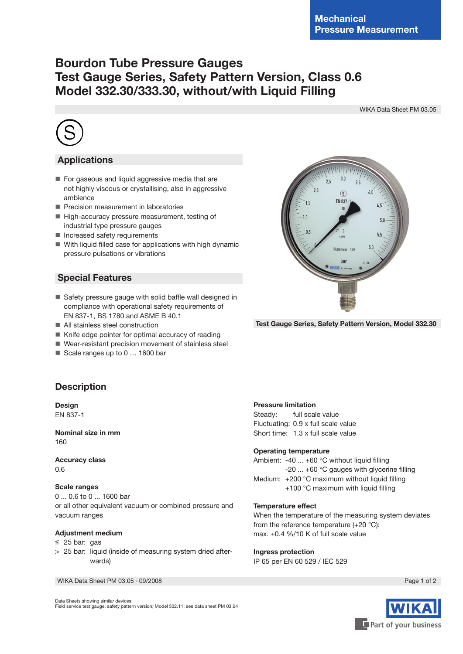# **Bourdon Tube Pressure Gauges Test Gauge Series, Safety Pattern Version, Class 0.6 Model 332.30/333.30, without/with Liquid Filling**

WIKA Data Sheet PM 03.05



## **Applications**

- For gaseous and liquid aggressive media that are not highly viscous or crystallising, also in aggressive ambience
- Precision measurement in laboratories
- High-accuracy pressure measurement, testing of industrial type pressure gauges
- **Increased safety requirements**
- With liquid filled case for applications with high dynamic pressure pulsations or vibrations

### **Special Features**

- Safety pressure gauge with solid baffle wall designed in compliance with operational safety requirements of EN 837-1, BS 1780 and ASME B 40.1
- All stainless steel construction
- Knife edge pointer for optimal accuracy of reading
- Wear-resistant precision movement of stainless steel
- Scale ranges up to 0 ... 1600 bar

## **Description**

**Design** EN 837-1

**Nominal size in mm** 160

**Accuracy class** 0.6

#### **Scale ranges**

0 ... 0.6 to 0 ... 1600 bar or all other equivalent vacuum or combined pressure and vacuum ranges

#### **Adjustment medium**

- ≤ 25 bar: gas
- > 25 bar: liquid (inside of measuring system dried afterwards)

WIKA Data Sheet PM 03.05 ⋅ 09/2008 Page 1 of 2

#### **Pressure limitation**

Steady: full scale value Fluctuating: 0.9 x full scale value Short time: 1.3 x full scale value

#### **Operating temperature**

Ambient: -40 ... +60 °C without liquid filling -20 ... +60 °C gauges with glycerine filling Medium: +200 °C maximum without liquid filling +100 °C maximum with liquid filling

#### **Temperature effect**

When the temperature of the measuring system deviates from the reference temperature (+20 °C): max. ±0.4 %/10 K of full scale value

#### **Ingress protection**

IP 65 per EN 60 529 / IEC 529

Data Sheets showing similar devices: Field service test gauge, safety pattern version; Model 332.11; see data sheet PM 03.04